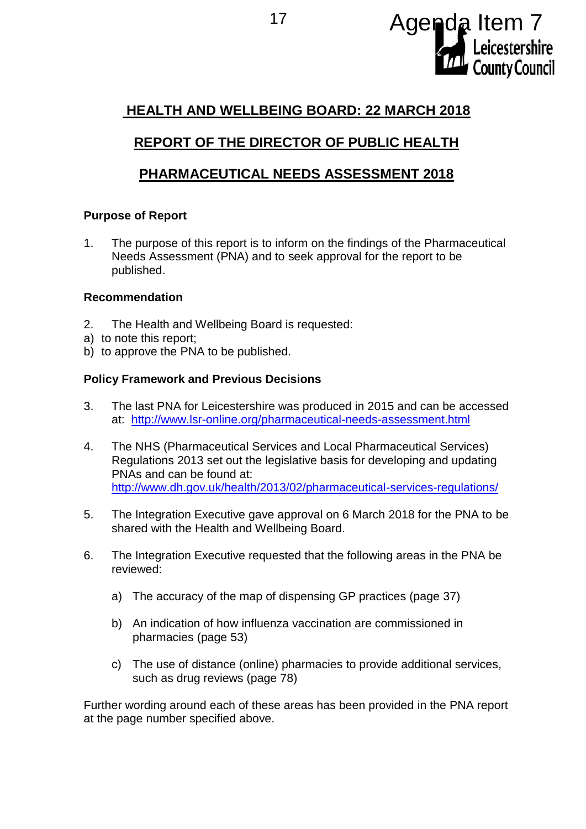

# **HEALTH AND WELLBEING BOARD: 22 MARCH 2018**

# **REPORT OF THE DIRECTOR OF PUBLIC HEALTH**

## **PHARMACEUTICAL NEEDS ASSESSMENT 2018**

### **Purpose of Report**

1. The purpose of this report is to inform on the findings of the Pharmaceutical Needs Assessment (PNA) and to seek approval for the report to be published.

#### **Recommendation**

- 2. The Health and Wellbeing Board is requested:
- a) to note this report;
- b) to approve the PNA to be published.

### **Policy Framework and Previous Decisions**

- 3. The last PNA for Leicestershire was produced in 2015 and can be accessed at: <http://www.lsr-online.org/pharmaceutical-needs-assessment.html>
- 4. The NHS (Pharmaceutical Services and Local Pharmaceutical Services) Regulations 2013 set out the legislative basis for developing and updating PNAs and can be found at: <http://www.dh.gov.uk/health/2013/02/pharmaceutical-services-regulations/>
- 5. The Integration Executive gave approval on 6 March 2018 for the PNA to be shared with the Health and Wellbeing Board.
- 6. The Integration Executive requested that the following areas in the PNA be reviewed:
	- a) The accuracy of the map of dispensing GP practices (page 37)
	- b) An indication of how influenza vaccination are commissioned in pharmacies (page 53)
	- c) The use of distance (online) pharmacies to provide additional services, such as drug reviews (page 78)

Further wording around each of these areas has been provided in the PNA report at the page number specified above.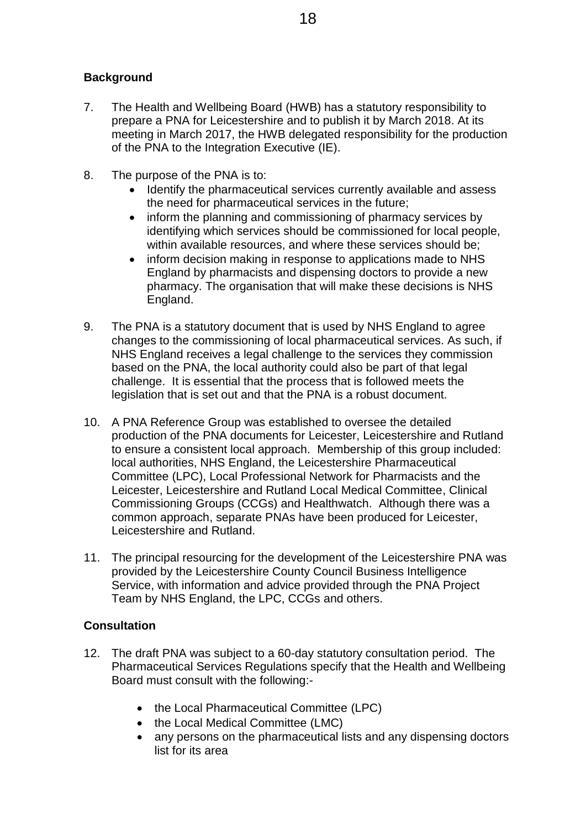## **Background**

- 7. The Health and Wellbeing Board (HWB) has a statutory responsibility to prepare a PNA for Leicestershire and to publish it by March 2018. At its meeting in March 2017, the HWB delegated responsibility for the production of the PNA to the Integration Executive (IE).
- 8. The purpose of the PNA is to:
	- Identify the pharmaceutical services currently available and assess the need for pharmaceutical services in the future;
	- inform the planning and commissioning of pharmacy services by identifying which services should be commissioned for local people, within available resources, and where these services should be;
	- inform decision making in response to applications made to NHS England by pharmacists and dispensing doctors to provide a new pharmacy. The organisation that will make these decisions is NHS England.
- 9. The PNA is a statutory document that is used by NHS England to agree changes to the commissioning of local pharmaceutical services. As such, if NHS England receives a legal challenge to the services they commission based on the PNA, the local authority could also be part of that legal challenge. It is essential that the process that is followed meets the legislation that is set out and that the PNA is a robust document.
- 10. A PNA Reference Group was established to oversee the detailed production of the PNA documents for Leicester, Leicestershire and Rutland to ensure a consistent local approach. Membership of this group included: local authorities, NHS England, the Leicestershire Pharmaceutical Committee (LPC), Local Professional Network for Pharmacists and the Leicester, Leicestershire and Rutland Local Medical Committee, Clinical Commissioning Groups (CCGs) and Healthwatch. Although there was a common approach, separate PNAs have been produced for Leicester, Leicestershire and Rutland.
- 11. The principal resourcing for the development of the Leicestershire PNA was provided by the Leicestershire County Council Business Intelligence Service, with information and advice provided through the PNA Project Team by NHS England, the LPC, CCGs and others.

#### **Consultation**

- 12. The draft PNA was subject to a 60-day statutory consultation period. The Pharmaceutical Services Regulations specify that the Health and Wellbeing Board must consult with the following:-
	- the Local Pharmaceutical Committee (LPC)
	- the Local Medical Committee (LMC)
	- any persons on the pharmaceutical lists and any dispensing doctors list for its area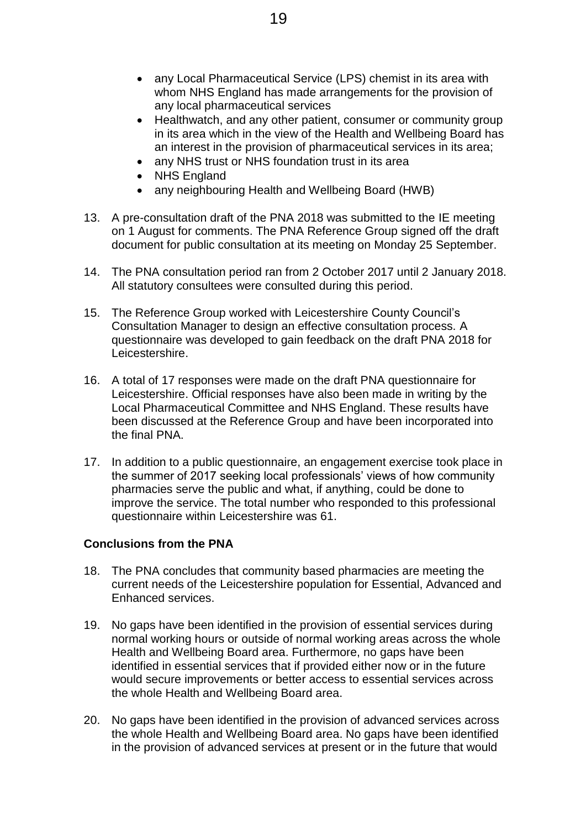- any Local Pharmaceutical Service (LPS) chemist in its area with whom NHS England has made arrangements for the provision of any local pharmaceutical services
- Healthwatch, and any other patient, consumer or community group in its area which in the view of the Health and Wellbeing Board has an interest in the provision of pharmaceutical services in its area;
- any NHS trust or NHS foundation trust in its area
- NHS England
- any neighbouring Health and Wellbeing Board (HWB)
- 13. A pre-consultation draft of the PNA 2018 was submitted to the IE meeting on 1 August for comments. The PNA Reference Group signed off the draft document for public consultation at its meeting on Monday 25 September.
- 14. The PNA consultation period ran from 2 October 2017 until 2 January 2018. All statutory consultees were consulted during this period.
- 15. The Reference Group worked with Leicestershire County Council's Consultation Manager to design an effective consultation process. A questionnaire was developed to gain feedback on the draft PNA 2018 for Leicestershire.
- 16. A total of 17 responses were made on the draft PNA questionnaire for Leicestershire. Official responses have also been made in writing by the Local Pharmaceutical Committee and NHS England. These results have been discussed at the Reference Group and have been incorporated into the final PNA.
- 17. In addition to a public questionnaire, an engagement exercise took place in the summer of 2017 seeking local professionals' views of how community pharmacies serve the public and what, if anything, could be done to improve the service. The total number who responded to this professional questionnaire within Leicestershire was 61.

#### **Conclusions from the PNA**

- 18. The PNA concludes that community based pharmacies are meeting the current needs of the Leicestershire population for Essential, Advanced and Enhanced services.
- 19. No gaps have been identified in the provision of essential services during normal working hours or outside of normal working areas across the whole Health and Wellbeing Board area. Furthermore, no gaps have been identified in essential services that if provided either now or in the future would secure improvements or better access to essential services across the whole Health and Wellbeing Board area.
- 20. No gaps have been identified in the provision of advanced services across the whole Health and Wellbeing Board area. No gaps have been identified in the provision of advanced services at present or in the future that would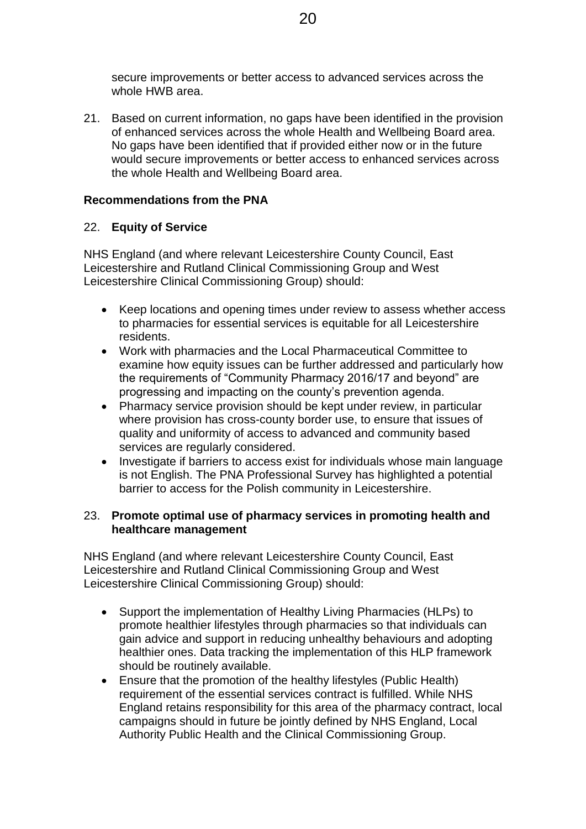secure improvements or better access to advanced services across the whole HWB area.

21. Based on current information, no gaps have been identified in the provision of enhanced services across the whole Health and Wellbeing Board area. No gaps have been identified that if provided either now or in the future would secure improvements or better access to enhanced services across the whole Health and Wellbeing Board area.

#### **Recommendations from the PNA**

### 22. **Equity of Service**

NHS England (and where relevant Leicestershire County Council, East Leicestershire and Rutland Clinical Commissioning Group and West Leicestershire Clinical Commissioning Group) should:

- Keep locations and opening times under review to assess whether access to pharmacies for essential services is equitable for all Leicestershire residents.
- Work with pharmacies and the Local Pharmaceutical Committee to examine how equity issues can be further addressed and particularly how the requirements of "Community Pharmacy 2016/17 and beyond" are progressing and impacting on the county's prevention agenda.
- Pharmacy service provision should be kept under review, in particular where provision has cross-county border use, to ensure that issues of quality and uniformity of access to advanced and community based services are regularly considered.
- Investigate if barriers to access exist for individuals whose main language is not English. The PNA Professional Survey has highlighted a potential barrier to access for the Polish community in Leicestershire.

#### 23. **Promote optimal use of pharmacy services in promoting health and healthcare management**

NHS England (and where relevant Leicestershire County Council, East Leicestershire and Rutland Clinical Commissioning Group and West Leicestershire Clinical Commissioning Group) should:

- Support the implementation of Healthy Living Pharmacies (HLPs) to promote healthier lifestyles through pharmacies so that individuals can gain advice and support in reducing unhealthy behaviours and adopting healthier ones. Data tracking the implementation of this HLP framework should be routinely available.
- Ensure that the promotion of the healthy lifestyles (Public Health) requirement of the essential services contract is fulfilled. While NHS England retains responsibility for this area of the pharmacy contract, local campaigns should in future be jointly defined by NHS England, Local Authority Public Health and the Clinical Commissioning Group.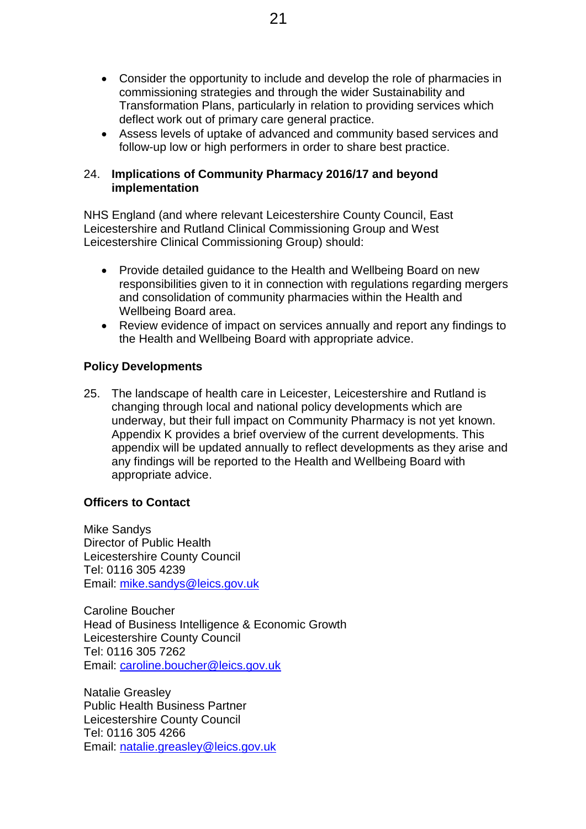- Consider the opportunity to include and develop the role of pharmacies in commissioning strategies and through the wider Sustainability and Transformation Plans, particularly in relation to providing services which deflect work out of primary care general practice.
- Assess levels of uptake of advanced and community based services and follow-up low or high performers in order to share best practice.

#### 24. **Implications of Community Pharmacy 2016/17 and beyond implementation**

NHS England (and where relevant Leicestershire County Council, East Leicestershire and Rutland Clinical Commissioning Group and West Leicestershire Clinical Commissioning Group) should:

- Provide detailed guidance to the Health and Wellbeing Board on new responsibilities given to it in connection with regulations regarding mergers and consolidation of community pharmacies within the Health and Wellbeing Board area.
- Review evidence of impact on services annually and report any findings to the Health and Wellbeing Board with appropriate advice.

#### **Policy Developments**

25. The landscape of health care in Leicester, Leicestershire and Rutland is changing through local and national policy developments which are underway, but their full impact on Community Pharmacy is not yet known. Appendix K provides a brief overview of the current developments. This appendix will be updated annually to reflect developments as they arise and any findings will be reported to the Health and Wellbeing Board with appropriate advice.

#### **Officers to Contact**

Mike Sandys Director of Public Health Leicestershire County Council Tel: 0116 305 4239 Email: [mike.sandys@leics.gov.uk](mailto:mike.sandys@leics.gov.uk)

Caroline Boucher Head of Business Intelligence & Economic Growth Leicestershire County Council Tel: 0116 305 7262 Email: [caroline.boucher@leics.gov.uk](mailto:caroline.boucher@leics.gov.uk)

Natalie Greasley Public Health Business Partner Leicestershire County Council Tel: 0116 305 4266 Email: [natalie.greasley@leics.gov.uk](mailto:natalie.greasley@leics.gov.uk)